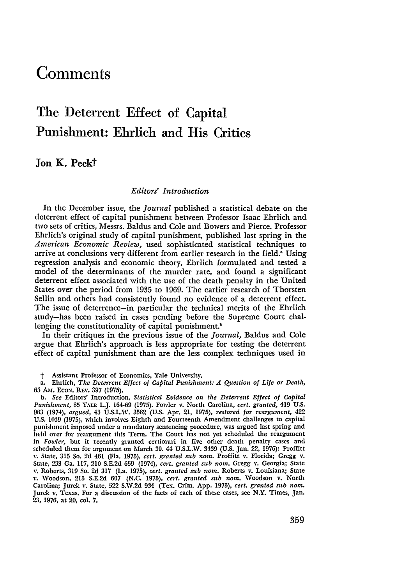# **Comments**

# The Deterrent Effect of Capital Punishment: Ehrlich and His Critics

Jon K. **Peckt**

#### *Editors' Introduction*

In the December issue, the *Journal* published a statistical debate on the deterrent effect of capital punishment between Professor Isaac Ehrlich and two sets of critics, Messrs. Baldus and Cole and Bowers and Pierce. Professor Ehrlich's original study of capital punishment, published last spring in the *American Economic Review,* used sophisticated statistical techniques to arrive at conclusions very different from earlier research in the field.<sup>4</sup> Using regression analysis and economic theory, Ehrlich formulated and tested a model of the determinants of the murder rate, and found a significant deterrent effect associated with the use of the death penalty in the United States over the period from 1935 to 1969. The earlier research of Thorsten Sellin and others had consistently found no evidence of a deterrent effect. The issue of deterrence-in particular the technical merits of the Ehrlich study-has been raised in cases pending before the Supreme Court challenging the constitutionality of capital punishment.<sup>b</sup>

In their critiques in the previous issue of the *Journal,* Baldus and Cole argue that Ehrlich's approach is less appropriate for testing the deterrent effect of capital punishment than are the less complex techniques used in

t Assistant Professor of Economics, Yale University.

a. Ehrlich, *The Deterrent Effect of Capital Punishment: A Question of Life or Death,* **65** Ams. EcoN. Rav. **397** (1975).

*b. See* Editors' Introduction, *Statistical Evidence on the Deterrent Effect of Capital Punishment,* **85 YALa** L.J. 164-69 (1975). Fowler v. North Carolina, *cert. granted,* 419 U.S. **963** (1974), *argued,* 43 U.S.L.W. 3582 (U.S. Apr. 21, 1975), *restored for reargument,* 422 U.S. 1039 (1975), which involves Eighth and Fourteenth Amendment challenges to capital punishment imposed under a mandatory sentencing procedure, was argued last spring and held over for reargument this Term. The Court has not yet scheduled the reargument in *Fowler,* but it recently granted certiorari in five other death penalty cases and scheduled them for argument on March 30. 44 U.S.L.W. 3439 (U.S. Jan. 22, 1976): Proffitt v. State, **315** So. 2d 461 (Fla. 1975), *ccrt. granted sub norn.* Proffitt v. Florida; Gregg v. State, 233 Ga. 117, 210 S.E.2d **659** (1974), *cert. granted sub nora.* Gregg v. Georgia; State v. Roberts, **319** So. 2d 317 (La. 1975), *cert. granted sub nom.* Roberts v. Louisiana; State v. Woodson, **215** S.E.2d 607 **(N.C.** 1975), *cert. granted sub nom.* Woodson v. North Carolina; Jurek **Y.** State, **522** S.W.2d 934 (Tex. Crim. App. 1975), *cert. granted sub nom.* Jurek v. Texas. For a discussion of the facts of each of these cases, see N.Y. Times, Jan. 23, 1976, at 20, col. 7.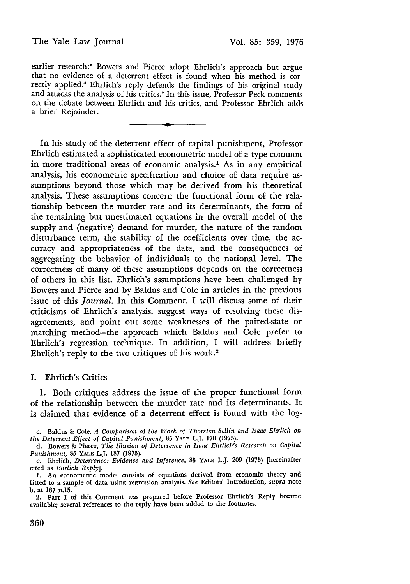earlier research;' Bowers and Pierce adopt Ehrlich's approach but argue that no evidence of a deterrent effect is found when his method is correctly applied." Ehrlich's reply defends the findings of his original study and attacks the analysis of his critics.' In this issue, Professor Peck comments on the debate between Ehrlich and his critics, and Professor Ehrlich adds a brief Rejoinder.

In his study of the deterrent effect of capital punishment, Professor Ehrlich estimated a sophisticated econometric model of a type common in more traditional areas of economic analysis.' As in any empirical analysis, his econometric specification and choice of data require assumptions beyond those which may be derived from his theoretical analysis. These assumptions concern the functional form of the relationship between the murder rate and its determinants, the form of the remaining but unestimated equations in the overall model of the supply and (negative) demand for murder, the nature of the random disturbance term, the stability of the coefficients over time, the accuracy and appropriateness of the data, and the consequences of aggregating the behavior of individuals to the national level. The correctness of many of these assumptions depends on the correctness of others in this list. Ehrlich's assumptions have been challenged by Bowers and Pierce and by Baldus and Cole in articles in the previous issue of this *Journal.* In this Comment, I will discuss some of their criticisms of Ehrlich's analysis, suggest ways of resolving these disagreements, and point out some weaknesses of the paired-state or matching method-the approach which Baldus and Cole prefer to Ehrlich's regression technique. In addition, I will address briefly Ehrlich's reply to the two critiques of his work.<sup>2</sup>

## I. Ehrlich's Critics

1. Both critiques address the issue of the proper functional form of the relationship between the murder rate and its determinants. It is claimed that evidence of a deterrent effect is found with the log-

c. Baldus **&** Cole, *A Comparison of the Work of Thorsten Sellin and Isaac Ehrlich on the Deterrent Effect of Capital Punishment,* 85 YALE L.J. **170** (1975).

d. Bowers & Pierce, *The Illusion of Deterrence in Isaac Ehrlich's Research on Capital Punishment,* 85 YALE L.J. 187 (1975).

e. Ehrlich, *Deterrence: Evidence and Inference,* 85 YALE L.J. 209 (1975) [hereinafter cited as *Ehrlich Reply].*

<sup>1.</sup> An econometric model consists of equations derived from economic theory and fitted to a sample of data using regression analysis. *See* Editors' Introduction, *supra* note b, at 167 n.15.

<sup>2.</sup> Part I of this Comment was prepared before Professor Ehrlich's Reply became available; several references to the reply have been added to the footnotes.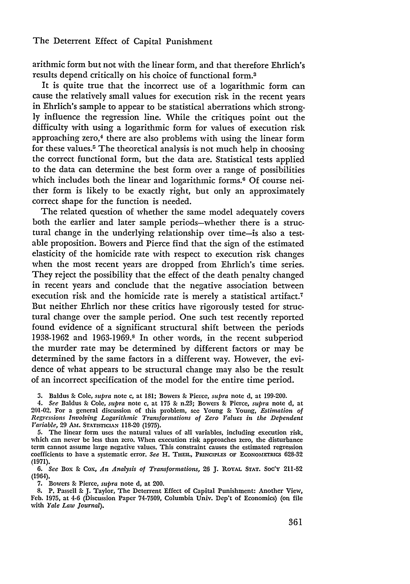## The Deterrent Effect of Capital Punishment

arithmic form but not with the linear form, and that therefore Ehrlich's results depend critically on his choice of functional form. <sup>3</sup>

It is quite true that the incorrect use of a logarithmic form can cause the relatively small values for execution risk in the recent years in Ehrlich's sample to appear to be statistical aberrations which strongly influence the regression line. While the critiques point out the difficulty with using a logarithmic form for values of execution risk approaching zero,<sup>4</sup> there are also problems with using the linear form for these values.5 The theoretical analysis is not much help in choosing the correct functional form, but the data are. Statistical tests applied to the data can determine the best form over a range of possibilities which includes both the linear and logarithmic forms.<sup>6</sup> Of course neither form is likely to be exactly right, but only an approximately correct shape for the function is needed.

The related question of whether the same model adequately covers both the earlier and later sample periods-whether there is a structural change in the underlying relationship over time-is also a testable proposition. Bowers and Pierce find that the sign of the estimated elasticity of the homicide rate with respect to execution risk changes when the most recent years are dropped from Ehrlich's time series. They reject the possibility that the effect of the death penalty changed in recent years and conclude that the negative association between execution risk and the homicide rate is merely a statistical artifact.<sup>7</sup> But neither Ehrlich nor these critics have rigorously tested for structural change over the sample period. One such test recently reported found evidence of a significant structural shift between the periods 1938-1962 and 1963-1969.8 In other words, in the recent subperiod the murder rate may be determined by different factors or may be determined by the same factors in a different way. However, the evidence of what appears to be structural change may also be the result of an incorrect specification of the model for the entire time period.

**3.** Baldus **&** Cole, *supra* note c, at 181; Bowers & Pierce, *supra* note **d,** at 199-200.

*4. See* Baldus **&** Cole, *supra* note c, at **175 &** n.23; Bowers **&** Pierce, *supra* note d, at 201-02. For a general discussion of this problem, see Young & Young, *Estimation of Regressions Involving Logarithmic Transformations of Zero Values in the Dependent Variable,* 29 AM. STATISTICIAN **118-20** (1975).

**5.** The linear form uses the natural values of all variables, including execution risk, which can never be less than zero. When execution risk approaches zero, the disturbance term cannot assume large negative values. This constraint causes the estimated regression coefficients to have a systematic error. *See* H. **THEIL, PRINCIPLFS OF EcONOMETRics 628-32 (1971).**

*6. See* Box & Cox, *An Analysis of Transformations,* **26 J. ROYAL STAT. Soc'y 211-52** (1964).

7. Bowers **&-** Pierce, *supra* note d, at 200.

8. P. Passell & J. Taylor, The Deterrent Effect of Capital Punishment: Another View, Feb. 1975, at 4-6 (Discussion Paper 74-7509, Columbia Univ. Dep't of Economics) (on file with *Yale Law Journal).*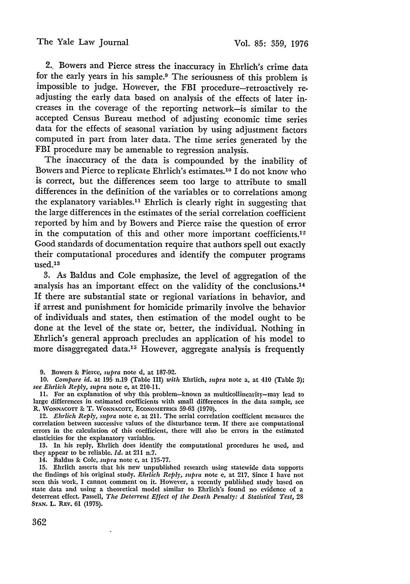2. Bowers and Pierce stress the inaccuracy in Ehrlich's crime data for the early years in his sample.9 The seriousness of this problem is impossible to judge. However, the FBI procedure-retroactively readjusting the early data based on analysis of the effects of later increases in the coverage of the reporting network-is similar to the accepted Census Bureau method of adjusting economic time series data for the effects of seasonal variation **by** using adjustment factors computed in part from later data. The time series generated **by** the FBI procedure may be amenable to regression analysis.

The inaccuracy of the data is compounded by the inability of Bowers and Pierce to replicate Ehrlich's estimates.<sup>10</sup> I do not know who is correct, but the differences seem too large to attribute to small differences in the definition of the variables or to correlations among the explanatory variables." Ehrlich is clearly right in suggesting that the large differences in the estimates of the serial correlation coefficient reported by him and by Bowers and Pierce raise the question of error in the computation of this and other more important coefficients.<sup>12</sup> Good standards of documentation require that authors spell out exactly their computational procedures and identify the computer programs used.<sup>13</sup>

3. As Baldus and Cole emphasize, the level of aggregation of the analysis has an important effect on the validity of the conclusions.<sup>14</sup> If there are substantial state or regional variations in behavior, and if arrest and punishment for homicide primarily involve the behavior of individuals and states, then estimation of the model ought to be done at the level of the state or, better, the individual. Nothing in Ehrlich's general approach precludes an application of his model to more disaggregated data.<sup>15</sup> However, aggregate analysis is frequently

**9.** Bowers & Pierce, *supra* note **d,** at 187-92.

10. *Compare id.* at 195 n.19 (Table III) with Ehrlich, *supra* note a, at 410 (Table **3);** *see Ehrlich Reply, supra* note e, at 210-11.

**11.** For an explanation of why this problem-known as multicollinearity-may lead to large differences in estimated coefficients with small differences in the data sample, see R. WONNACOTT & T. WONNACOTT, ECONOMETRICS 59-63 (1970).

12. *Ehrlich Reply, supra* note e, at 211. The serial correlation coefficient measures the correlation between successive values of the disturbance term. If there are computational errors in the calculation of this coefficient, there will also be errors in the estimated elasticities for the explanatory variables.

13. In his reply, Ehrlich does identify the computational procedures he used, and they appear to be reliable. *Id.* at 211 n.7.

14. Baldus **&** Cole, *supra* note c, at 175-77.

15. Ehrlich asserts that his new unpublished research using statewide data supports the findings of his original study. *Ehrlich Reply, supra* note e, at 217. Since I have not seen this work, I cannot comment on it. However, a recently published study based on state data and using a theoretical model similar to Ehrlich's found no evidence of a deterrent effect. Passell, *The Deterrent Effect of the Death Penalty: A Statistical Test*, 28 **STAN.** L. REV. 61 (1975).

362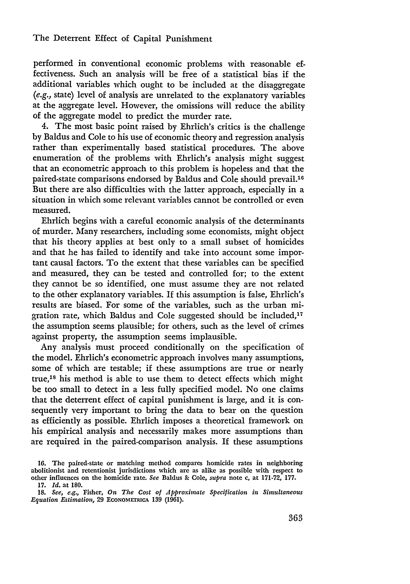#### The Deterrent Effect of Capital Punishment

performed in conventional economic problems with reasonable effectiveness. Such an analysis will be free of a statistical bias if the additional variables which ought to be included at the disaggregate (e.g., state) level of analysis are unrelated to the explanatory variables at the aggregate level. However, the omissions will reduce the ability of the aggregate model to predict the murder rate.

4. The most basic point raised by Ehrlich's critics is the challenge by Baldus and Cole to his use of economic theory and regression analysis rather than experimentally based statistical procedures. The above enumeration of the problems with Ehrlich's analysis might suggest that an econometric approach to this problem is hopeless and that the paired-state comparisons endorsed by Baldus and Cole should prevail.<sup>16</sup> But there are also difficulties with the latter approach, especially in a situation in which some relevant variables cannot be controlled or even measured.

Ehrlich begins with a careful economic analysis of the determinants of murder. Many researchers, including some economists, might object that his theory applies at best only to a small subset of homicides and that he has failed to identify and take into account some important causal factors. To the extent that these variables can be specified and measured, they can be tested and controlled for; to the extent they cannot be so identified, one must assume they are not related to the other explanatory variables. If this assumption is false, Ehrlich's results are biased. For some of the variables, such as the urban migration rate, which Baldus and Cole suggested should be included, $17$ the assumption seems plausible; for others, such as the level of crimes against property, the assumption seems implausible.

Any analysis must proceed conditionally on the specification of the model. Ehrlich's econometric approach involves many assumptions, some of which are testable; if these assumptions are true or nearly true,<sup>18</sup> his method is able to use them to detect effects which might be too small to detect in a less fully specified model. No one claims that the deterrent effect of capital punishment is large, and it is consequently very important to bring the data to bear on the question as efficiently as possible. Ehrlich imposes a theoretical framework on his empirical analysis and necessarily makes more assumptions than are required in the paired-comparison analysis. If these assumptions

**<sup>16.</sup> The** paired-state or matching method compares homicide rates in neighboring abolitionist and retentionist jurisdictions which are as alike as possible with respect to other influences on **the** homicide rate. *See* Baldus **&** Cole, supra note **c,** at **171-72, 177.**

**<sup>17.</sup>** *Id.* at **180.**

**<sup>18.</sup>** *See,* e.g., Fisher, On *The Cost of Approximate Specification in Simultaneous Equation Estimation,* **29 ECONOMETRICA 139 (1961).**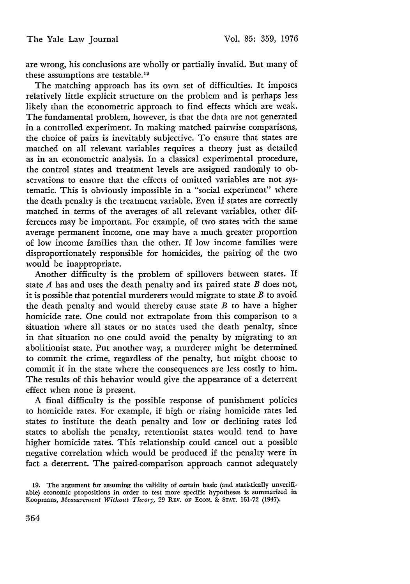are wrong, his conclusions are wholly or partially invalid. But many of these assumptions are testable.<sup>19</sup>

The matching approach has its own set of difficulties. It imposes relatively little explicit structure on the problem and is perhaps less likely than the econometric approach to find effects which are weak. The fundamental problem, however, is that the data are not generated in a controlled experiment. In making matched pairwise comparisons, the choice of pairs is inevitably subjective. To ensure that states are matched on all relevant variables requires a theory just as detailed as in an econometric analysis. In a classical experimental procedure, the control states and treatment levels are assigned randomly to observations to ensure that the effects of omitted variables are not systematic. This is obviously impossible in a "social experiment" where the death penalty is the treatment variable. Even if states are correctly matched in terms of the averages of all relevant variables, other differences may be important. For example, of two states with the same average permanent income, one may have a much greater proportion of low income families than the other. If low income families were disproportionately responsible for homicides, the pairing of the two would be inappropriate.

Another difficulty is the problem of spillovers between states. If state *A* has and uses the death penalty and its paired state *B* does not, it is possible that potential murderers would migrate to state *B* to avoid the death penalty and would thereby cause state *B* to have a higher homicide rate. One could not extrapolate from this comparison to a situation where all states or no states used the death penalty, since in that situation no one could avoid the penalty by migrating to an abolitionist state. Put another way, a murderer might be determined to commit the crime, regardless of the penalty, but might choose to commit if in the state where the consequences are less costly to him. The results of this behavior would give the appearance of a deterrent effect when none is present.

A final difficulty is the possible response of punishment policies to homicide rates. For example, if high or rising homicide rates led states to institute the death penalty and low or declining rates led states to abolish the penalty, retentionist states would tend to have higher homicide rates. This relationship could cancel out a possible negative correlation which would be produced if the penalty were in fact a deterrent. The paired-comparison approach cannot adequately

<sup>19.</sup> The argument for assuming the validity of certain basic (and statistically unverifiable) economic propositions in order to test more specific hypotheses is summarized in Koopmans, *Measurement Without Theory,* **29 REV.** oF **ECON. & STAT. 161-72** (1947).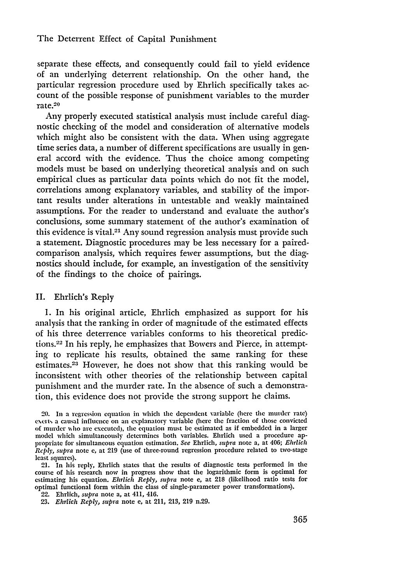separate these effects, and consequently could fail to yield evidence of an underlying deterrent relationship. On the other hand, the particular regression procedure used by Ehrlich specifically takes account of the possible response of punishment variables to the murder  $rate.<sup>20</sup>$ 

Any properly executed statistical analysis must include careful diagnostic checking of the model and consideration of alternative models which might also be consistent with the data. When using aggregate time series data, a number of different specifications are usually in general accord with the evidence. Thus the choice among competing models must be based on underlying theoretical analysis and on such empirical clues as particular data points which do not fit the model, correlations among explanatory variables, and stability of the important results under alterations in untestable and weakly maintained assumptions. For the reader to understand and evaluate the author's conclusions, some summary statement of the author's examination of this evidence is vital.<sup>21</sup> Any sound regression analysis must provide such a statement. Diagnostic procedures may be less necessary for a pairedcomparison analysis, which requires fewer assumptions, but the diagnostics should include, for example, an investigation of the sensitivity of the findings to the choice of pairings.

## II. Ehrlich's Reply

1. In his original article, Ehrlich emphasized as support for his analysis that the ranking in order of magnitude of the estimated effects of his three deterrence variables conforms to his theoretical predictions.<sup>22</sup> In his reply, he emphasizes that Bowers and Pierce, in attempting to replicate his results, obtained the same ranking for these estimates.<sup>23</sup> However, he does not show that this ranking would be inconsistent with other theories of the relationship between capital punishment and the murder rate. In the absence of such a demonstration, this evidence does not provide the strong support he claims.

22. Ehrlich, *supra* note a, at 411, 416.

<sup>20.</sup> In a regression equation in which the dependent variable (here **the** murder rate) exerts a causal influence on an explanatory variable (here the fraction of those convicted of murder ulho are executed), the equation must **be** estimated as if embedded in a larger model which simultaneously determines both variables. Ehrlich used a procedure appropriate for simultaneous equation estimation. *See* Ehrlich, *supra* note a, at 406; *Ehrlich Reply, supra* note e, at 219 (use of three-round regression procedure related to two-stage least squares).

<sup>21.</sup> In his reply, Ehrlich states that the results of diagnostic tests performed in the course of his research now in progress show that the logarithmic form is optimal for estimating his equation. *Ehrlich Reply, supra* note e, at 218 (likelihood ratio tests for optimal functional form within the class of single-parameter power transformations).

<sup>23.</sup> *Ehrlich Reply, supra* note e, at 211, 213, 219 n.29.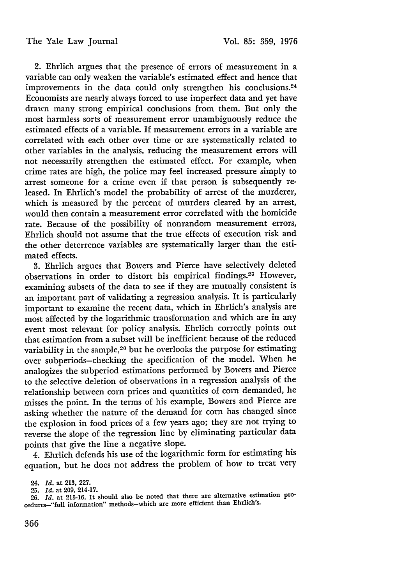2. Ehrlich argues that the presence of errors of measurement in a variable can only weaken the variable's estimated effect and hence that improvements in the data could only strengthen his conclusions.<sup>24</sup> Economists are nearly always forced to use imperfect data and yet have drawn many strong empirical conclusions from them. But only the most harmless sorts of measurement error unambiguously reduce the estimated effects of a variable. If measurement errors in a variable are correlated with each other over time or are systematically related to other variables in the analysis, reducing the measurement errors will not necessarily strengthen the estimated effect. For example, when crime rates are high, the police may feel increased pressure simply to arrest someone for a crime even if that person is subsequently released. In Ehrlich's model the probability of arrest of the murderer, which is measured **by** the percent of murders cleared **by** an arrest, would then contain a measurement error correlated with the homicide rate. Because of the possibility of nonrandom measurement errors, Ehrlich should not assume that the true effects of execution risk and the other deterrence variables are systematically larger than the estimated effects.

**3.** Ehrlich argues that Bowers and Pierce have selectively deleted observations in order to distort his empirical findings.<sup>25</sup> However, examining subsets of the data to see if they are mutually consistent is an important part of validating a regression analysis. It is particularly important to examine the recent data, which in Ehrlich's analysis are most affected **by** the logarithmic transformation and which are in any event most relevant for policy analysis. Ehrlich correctly points out that estimation from a subset will be inefficient because of the reduced variability in the sample,<sup>26</sup> but he overlooks the purpose for estimating over subperiods-checking the specification of the model. When he analogizes the subperiod estimations performed **by** Bowers and Pierce to the selective deletion of observations in a regression analysis of the relationship between corn prices and quantities of corn demanded, he misses the point. In the terms of his example, Bowers and Pierce are asking whether the nature of the demand for corn has changed since the explosion in food prices of a few years ago; they are not trying to reverse the slope of the regression line **by** eliminating particular data points that give the line a negative slope.

4. Ehrlich defends his use of the logarithmic form for estimating his equation, but he does not address the problem of how to treat very

**<sup>24.</sup>** *Id.* **at 213, 227.**

**<sup>25.</sup>** *Id.* **at 209, 214-17.**

**<sup>26.</sup>** *Id.* **at 215-16. It should also be noted that there are alternative estimation procedures--"full information" methods-which are more efficient than Ehrlich's.**